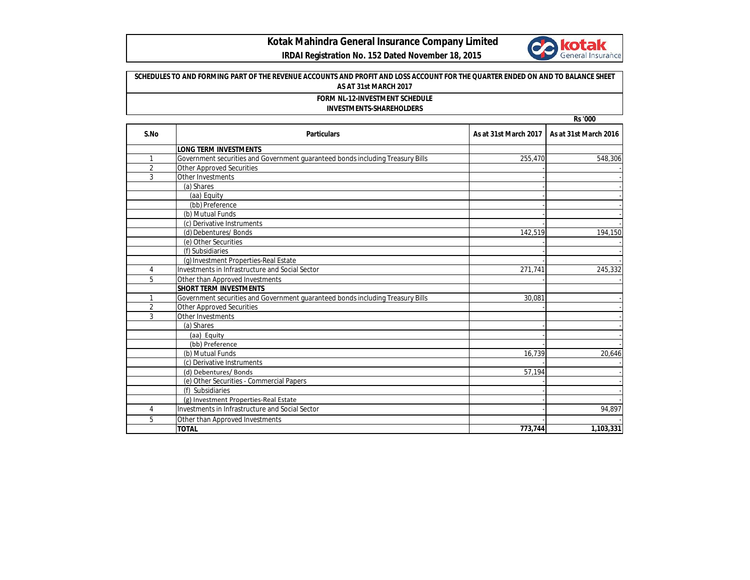

## **Kotak Mahindra General Insurance Company Limited**

## **IRDAI Registration No. 152 Dated November 18, 2015**

## **Rs '000 SCHEDULES TO AND FORMING PART OF THE REVENUE ACCOUNTS AND PROFIT AND LOSS ACCOUNT FOR THE QUARTER ENDED ON AND TO BALANCE SHEET AS AT 31st MARCH 2017 FORM NL-12-INVESTMENT SCHEDULE INVESTMENTS-SHAREHOLDERS**

| S.No           | <b>Particulars</b>                                                             | As at 31st March 2017 | As at 31st March 2016 |
|----------------|--------------------------------------------------------------------------------|-----------------------|-----------------------|
|                | <b>LONG TERM INVESTMENTS</b>                                                   |                       |                       |
| 1              | Government securities and Government guaranteed bonds including Treasury Bills | 255,470               | 548,306               |
| $\overline{2}$ | <b>Other Approved Securities</b>                                               |                       |                       |
| 3              | Other Investments                                                              |                       |                       |
|                | (a) Shares                                                                     |                       |                       |
|                | (aa) Equity                                                                    |                       |                       |
|                | (bb) Preference                                                                |                       |                       |
|                | (b) Mutual Funds                                                               |                       |                       |
|                | (c) Derivative Instruments                                                     |                       |                       |
|                | (d) Debentures/ Bonds                                                          | 142,519               | 194,150               |
|                | (e) Other Securities                                                           |                       |                       |
|                | (f) Subsidiaries                                                               |                       |                       |
|                | (g) Investment Properties-Real Estate                                          |                       |                       |
| 4              | Investments in Infrastructure and Social Sector                                | 271,741               | 245,332               |
| 5              | Other than Approved Investments                                                |                       |                       |
|                | <b>SHORT TERM INVESTMENTS</b>                                                  |                       |                       |
|                | Government securities and Government quaranteed bonds including Treasury Bills | 30,081                |                       |
| $\overline{2}$ | <b>Other Approved Securities</b>                                               |                       |                       |
| 3              | Other Investments                                                              |                       |                       |
|                | (a) Shares                                                                     |                       |                       |
|                | (aa) Equity                                                                    |                       |                       |
|                | (bb) Preference                                                                |                       |                       |
|                | (b) Mutual Funds                                                               | 16,739                | 20,646                |
|                | (c) Derivative Instruments                                                     |                       |                       |
|                | (d) Debentures/Bonds                                                           | 57,194                |                       |
|                | (e) Other Securities - Commercial Papers                                       |                       |                       |
|                | (f) Subsidiaries                                                               |                       |                       |
|                | (g) Investment Properties-Real Estate                                          |                       |                       |
| 4              | Investments in Infrastructure and Social Sector                                |                       | 94.897                |
| 5              | Other than Approved Investments                                                |                       |                       |
|                | <b>TOTAL</b>                                                                   | 773,744               | 1,103,331             |